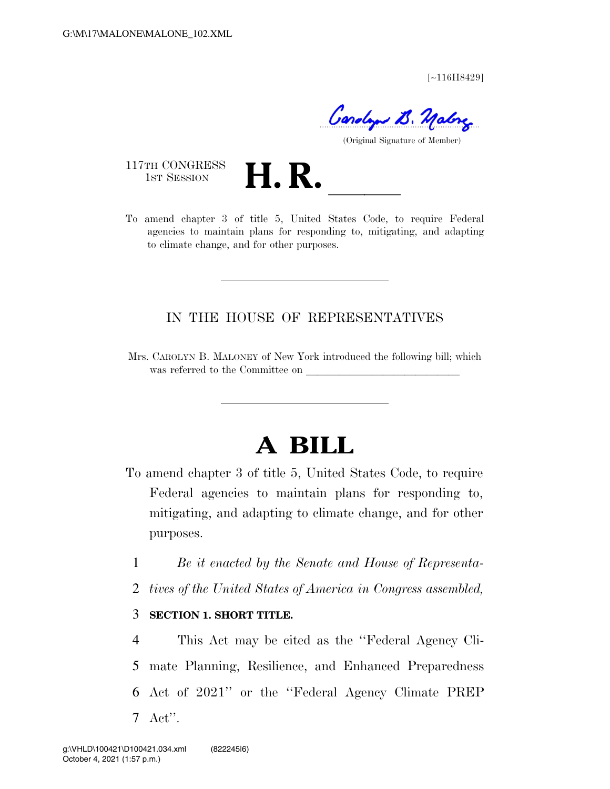[∼116H8429]

Carolyn B. Mabry

(Original Signature of Member)

117TH CONGRESS<br>1st Session

117TH CONGRESS<br>1st SESSION **H. R.** <u>Inited States Code</u>, to require Federal agencies to maintain plans for responding to, mitigating, and adapting to climate change, and for other purposes.

## IN THE HOUSE OF REPRESENTATIVES

Mrs. CAROLYN B. MALONEY of New York introduced the following bill; which was referred to the Committee on

# **A BILL**

- To amend chapter 3 of title 5, United States Code, to require Federal agencies to maintain plans for responding to, mitigating, and adapting to climate change, and for other purposes.
	- 1 *Be it enacted by the Senate and House of Representa-*
	- 2 *tives of the United States of America in Congress assembled,*

#### 3 **SECTION 1. SHORT TITLE.**

 This Act may be cited as the ''Federal Agency Cli- mate Planning, Resilience, and Enhanced Preparedness Act of 2021'' or the ''Federal Agency Climate PREP 7 Act''.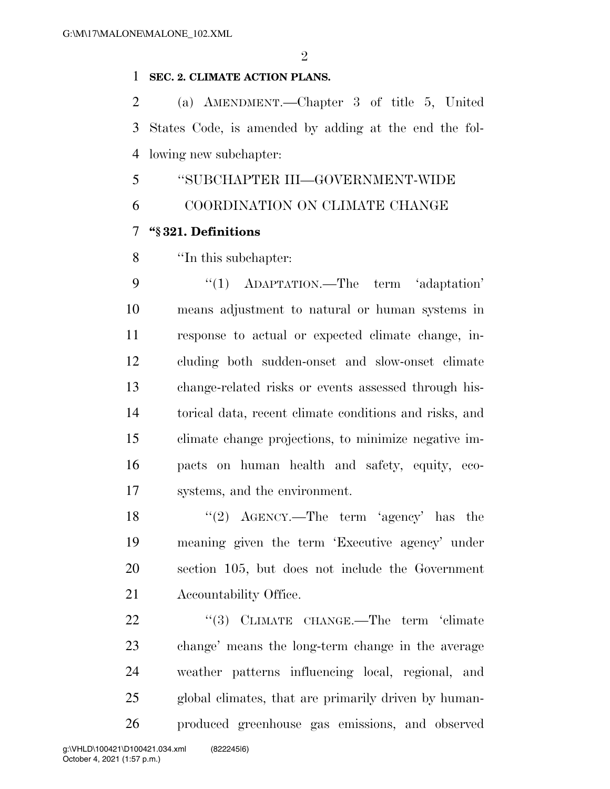## **SEC. 2. CLIMATE ACTION PLANS.**

 (a) AMENDMENT.—Chapter 3 of title 5, United States Code, is amended by adding at the end the fol-lowing new subchapter:

''SUBCHAPTER III—GOVERNMENT-WIDE

COORDINATION ON CLIMATE CHANGE

## **''§ 321. Definitions**

''In this subchapter:

9 "(1) ADAPTATION.—The term 'adaptation' means adjustment to natural or human systems in response to actual or expected climate change, in- cluding both sudden-onset and slow-onset climate change-related risks or events assessed through his- torical data, recent climate conditions and risks, and climate change projections, to minimize negative im- pacts on human health and safety, equity, eco-systems, and the environment.

18 ''(2) AGENCY.—The term 'agency' has the meaning given the term 'Executive agency' under section 105, but does not include the Government Accountability Office.

22 "(3) CLIMATE CHANGE.—The term 'climate change' means the long-term change in the average weather patterns influencing local, regional, and global climates, that are primarily driven by human-produced greenhouse gas emissions, and observed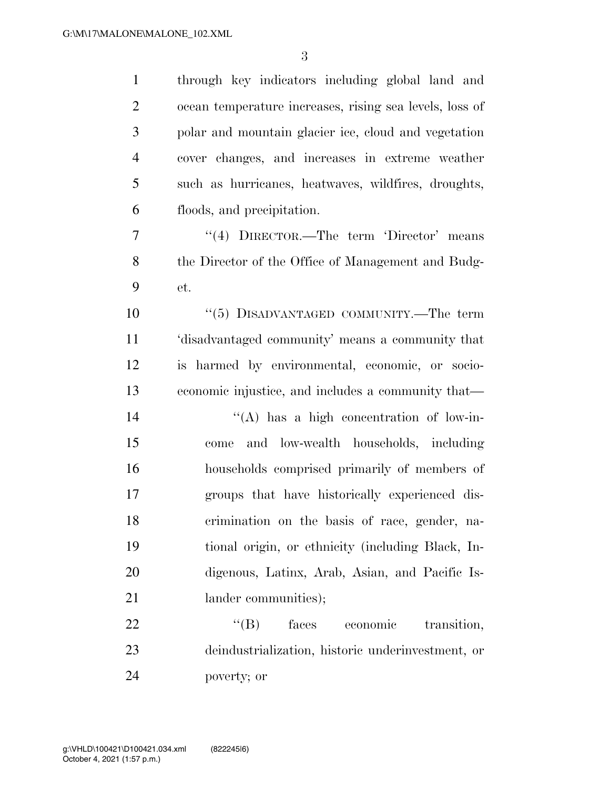through key indicators including global land and ocean temperature increases, rising sea levels, loss of polar and mountain glacier ice, cloud and vegetation cover changes, and increases in extreme weather such as hurricanes, heatwaves, wildfires, droughts, floods, and precipitation. ''(4) DIRECTOR.—The term 'Director' means the Director of the Office of Management and Budg- et.  $(5)$  DISADVANTAGED COMMUNITY.—The term 'disadvantaged community' means a community that is harmed by environmental, economic, or socio- economic injustice, and includes a community that— 14 ''(A) has a high concentration of low-in- come and low-wealth households, including households comprised primarily of members of groups that have historically experienced dis- crimination on the basis of race, gender, na- tional origin, or ethnicity (including Black, In- digenous, Latinx, Arab, Asian, and Pacific Is-21 lander communities); 22 "'(B) faces economic transition, deindustrialization, historic underinvestment, or

poverty; or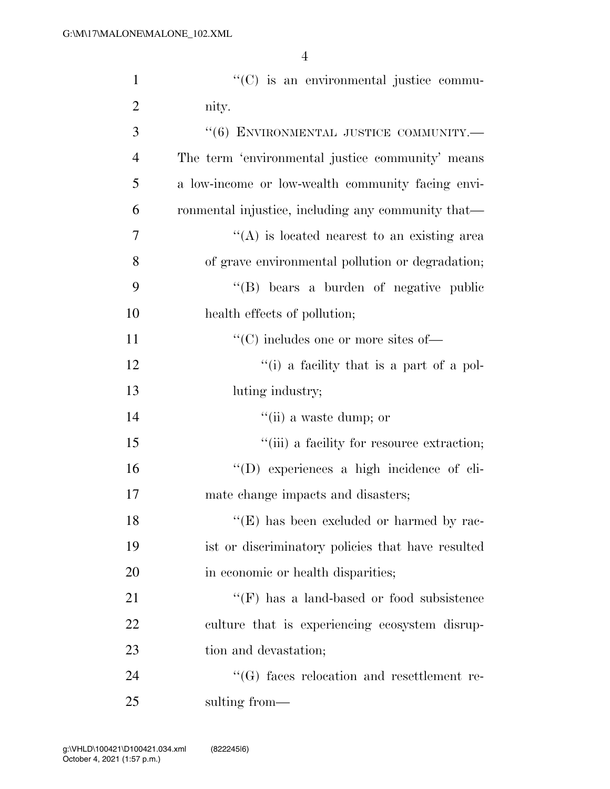| $\mathbf{1}$   | "(C) is an environmental justice commu-            |
|----------------|----------------------------------------------------|
| $\overline{2}$ | nity.                                              |
| 3              | $``(6)$ ENVIRONMENTAL JUSTICE COMMUNITY.—          |
| $\overline{4}$ | The term 'environmental justice community' means   |
| 5              | a low-income or low-wealth community facing envi-  |
| 6              | ronmental injustice, including any community that— |
| 7              | $\lq\lq$ is located nearest to an existing area    |
| 8              | of grave environmental pollution or degradation;   |
| 9              | "(B) bears a burden of negative public             |
| 10             | health effects of pollution;                       |
| 11             | $\lq\lq$ (C) includes one or more sites of —       |
| 12             | "(i) a facility that is a part of a pol-           |
| 13             | luting industry;                                   |
| 14             | $``$ (ii) a waste dump; or                         |
| 15             | "(iii) a facility for resource extraction;         |
| 16             | "(D) experiences a high incidence of cli-          |
| 17             | mate change impacts and disasters;                 |
| 18             | $\lq\lq(E)$ has been excluded or harmed by rac-    |
| 19             | ist or discriminatory policies that have resulted  |
| 20             | in economic or health disparities;                 |
| 21             | $\lq\lq(F)$ has a land-based or food subsistence   |
| 22             | culture that is experiencing ecosystem disrup-     |
| 23             | tion and devastation;                              |
| 24             | $\lq\lq(G)$ faces relocation and resettlement re-  |
| 25             | sulting from—                                      |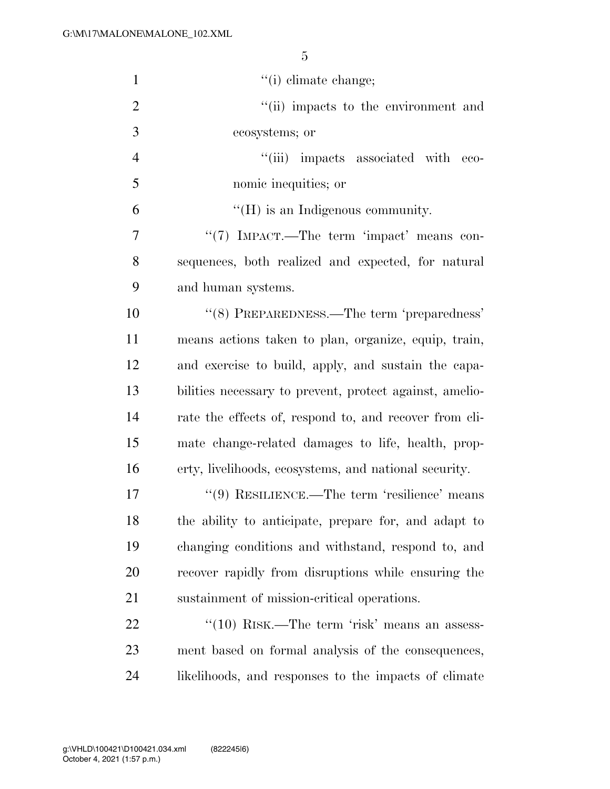| $\mathbf{1}$   | $f'(i)$ climate change;                                 |
|----------------|---------------------------------------------------------|
| $\overline{2}$ | "(ii) impacts to the environment and                    |
| 3              | ecosystems; or                                          |
| $\overline{4}$ | "(iii) impacts associated with eco-                     |
| 5              | nomic inequities; or                                    |
| 6              | $\lq\lq(H)$ is an Indigenous community.                 |
| 7              | "(7) IMPACT.—The term 'impact' means con-               |
| 8              | sequences, both realized and expected, for natural      |
| 9              | and human systems.                                      |
| 10             | "(8) PREPAREDNESS.—The term 'preparedness'              |
| 11             | means actions taken to plan, organize, equip, train,    |
| 12             | and exercise to build, apply, and sustain the capa-     |
| 13             | bilities necessary to prevent, protect against, amelio- |
| 14             | rate the effects of, respond to, and recover from cli-  |
| 15             | mate change-related damages to life, health, prop-      |
| 16             | erty, livelihoods, ecosystems, and national security.   |
| 17             | $\lq(9)$ RESILIENCE.—The term 'resilience' means        |
| 18             | the ability to anticipate, prepare for, and adapt to    |
| 19             | changing conditions and withstand, respond to, and      |
| 20             | recover rapidly from disruptions while ensuring the     |
| 21             | sustainment of mission-critical operations.             |
| 22             | " $(10)$ RISK.—The term 'risk' means an assess-         |
| 23             | ment based on formal analysis of the consequences,      |
| 24             | likelihoods, and responses to the impacts of climate    |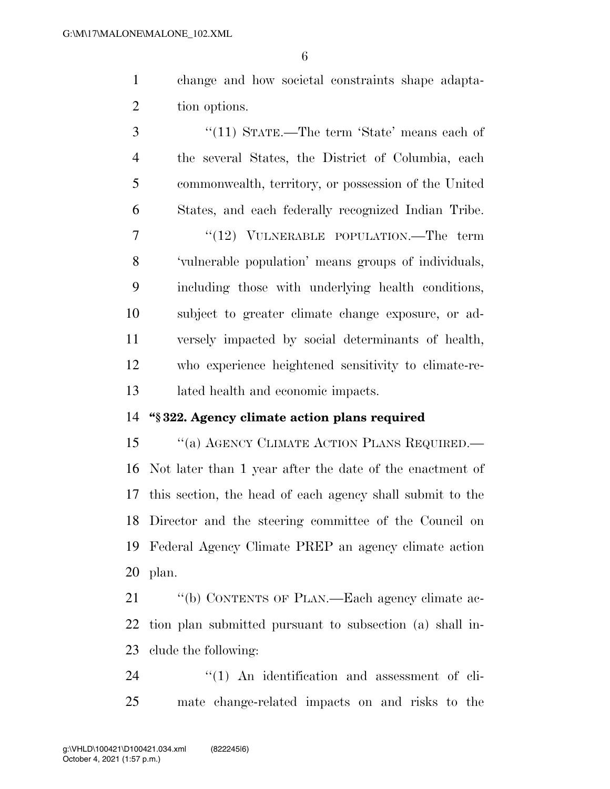change and how societal constraints shape adapta-tion options.

 ''(11) STATE.—The term 'State' means each of the several States, the District of Columbia, each commonwealth, territory, or possession of the United States, and each federally recognized Indian Tribe. 7 "(12) VULNERABLE POPULATION.—The term 'vulnerable population' means groups of individuals, including those with underlying health conditions, subject to greater climate change exposure, or ad- versely impacted by social determinants of health, who experience heightened sensitivity to climate-re-lated health and economic impacts.

#### **''§ 322. Agency climate action plans required**

15 "(a) AGENCY CLIMATE ACTION PLANS REQUIRED.— Not later than 1 year after the date of the enactment of this section, the head of each agency shall submit to the Director and the steering committee of the Council on Federal Agency Climate PREP an agency climate action plan.

21 "(b) CONTENTS OF PLAN.—Each agency climate ac- tion plan submitted pursuant to subsection (a) shall in-clude the following:

24  $\frac{1}{2}$  (1) An identification and assessment of cli-mate change-related impacts on and risks to the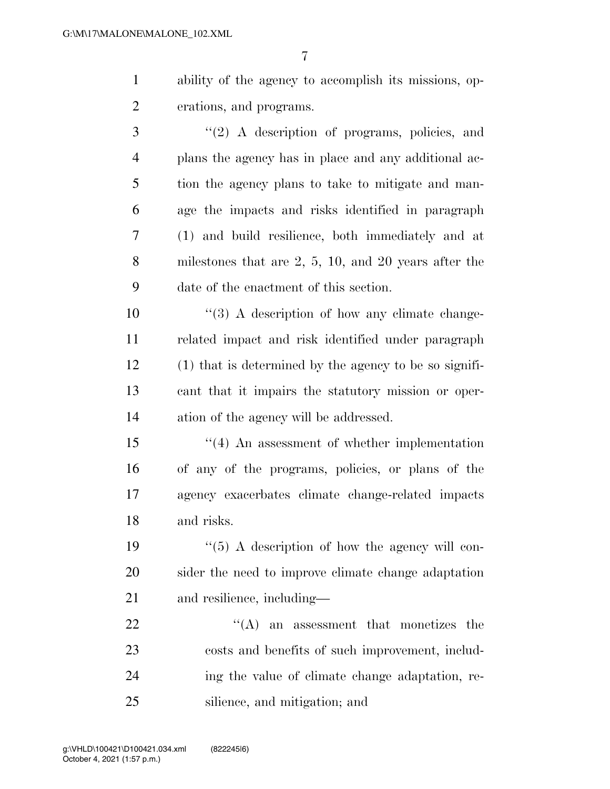ability of the agency to accomplish its missions, op-erations, and programs.

 ''(2) A description of programs, policies, and plans the agency has in place and any additional ac- tion the agency plans to take to mitigate and man- age the impacts and risks identified in paragraph (1) and build resilience, both immediately and at milestones that are 2, 5, 10, and 20 years after the date of the enactment of this section.

 $\frac{10}{3}$  A description of how any climate change- related impact and risk identified under paragraph (1) that is determined by the agency to be so signifi- cant that it impairs the statutory mission or oper-ation of the agency will be addressed.

 ''(4) An assessment of whether implementation of any of the programs, policies, or plans of the agency exacerbates climate change-related impacts and risks.

19  $\frac{1}{2}$  (5) A description of how the agency will con- sider the need to improve climate change adaptation and resilience, including—

 $\mathcal{L}(A)$  an assessment that monetizes the costs and benefits of such improvement, includ- ing the value of climate change adaptation, re-silience, and mitigation; and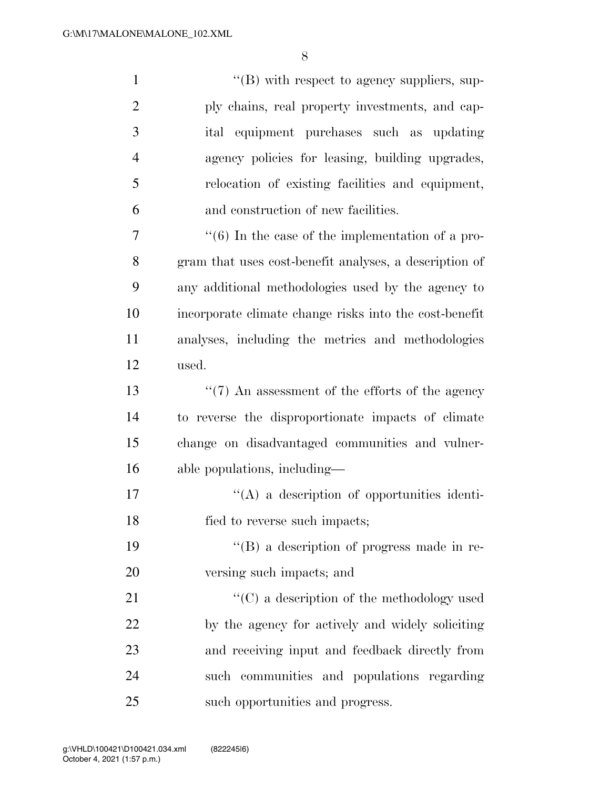| $\mathbf{1}$   | $\lq\lq (B)$ with respect to agency suppliers, sup-          |
|----------------|--------------------------------------------------------------|
| $\overline{2}$ | ply chains, real property investments, and cap-              |
| 3              | ital equipment purchases such as updating                    |
| $\overline{4}$ | agency policies for leasing, building upgrades,              |
| 5              | relocation of existing facilities and equipment,             |
| 6              | and construction of new facilities.                          |
| 7              | $\cdot\cdot$ (6) In the case of the implementation of a pro- |
| 8              | gram that uses cost-benefit analyses, a description of       |
| 9              | any additional methodologies used by the agency to           |
| 10             | incorporate climate change risks into the cost-benefit       |
| 11             | analyses, including the metrics and methodologies            |
| 12             | used.                                                        |
| 13             | $\lq(7)$ An assessment of the efforts of the agency          |
| 14             | to reverse the disproportionate impacts of climate           |
| 15             | change on disadvantaged communities and vulner-              |
| 16             | able populations, including-                                 |
| 17             | $\lq\lq$ a description of opportunities identi-              |
| 18             | fied to reverse such impacts;                                |
| 19             | "(B) a description of progress made in re-                   |
| 20             | versing such impacts; and                                    |
| 21             | $\lq\lq$ (C) a description of the methodology used           |
| 22             | by the agency for actively and widely soliciting             |
| 23             | and receiving input and feedback directly from               |
| 24             | such communities and populations regarding                   |
| 25             | such opportunities and progress.                             |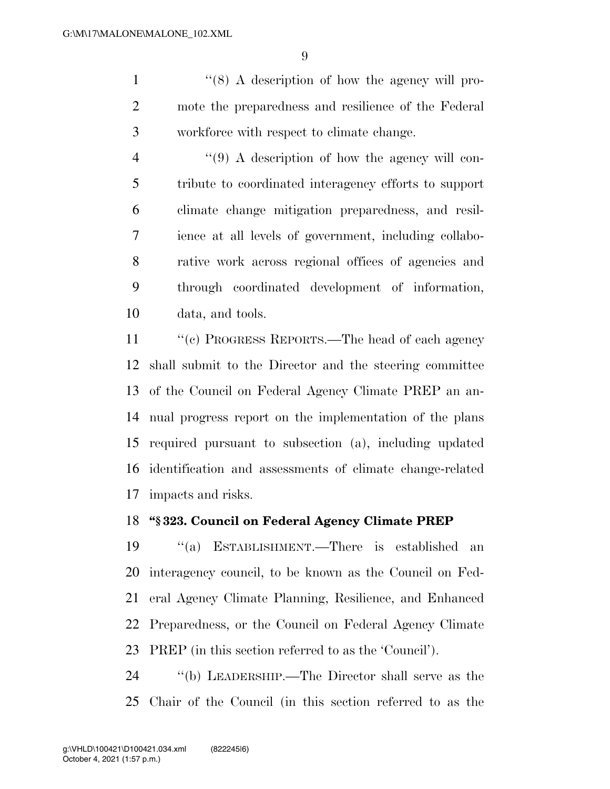1 ''(8) A description of how the agency will pro- mote the preparedness and resilience of the Federal workforce with respect to climate change.

4 ''(9) A description of how the agency will con- tribute to coordinated interagency efforts to support climate change mitigation preparedness, and resil- ience at all levels of government, including collabo- rative work across regional offices of agencies and through coordinated development of information, data, and tools.

 ''(c) PROGRESS REPORTS.—The head of each agency shall submit to the Director and the steering committee of the Council on Federal Agency Climate PREP an an- nual progress report on the implementation of the plans required pursuant to subsection (a), including updated identification and assessments of climate change-related impacts and risks.

#### **''§ 323. Council on Federal Agency Climate PREP**

 ''(a) ESTABLISHMENT.—There is established an interagency council, to be known as the Council on Fed- eral Agency Climate Planning, Resilience, and Enhanced Preparedness, or the Council on Federal Agency Climate PREP (in this section referred to as the 'Council').

 ''(b) LEADERSHIP.—The Director shall serve as the Chair of the Council (in this section referred to as the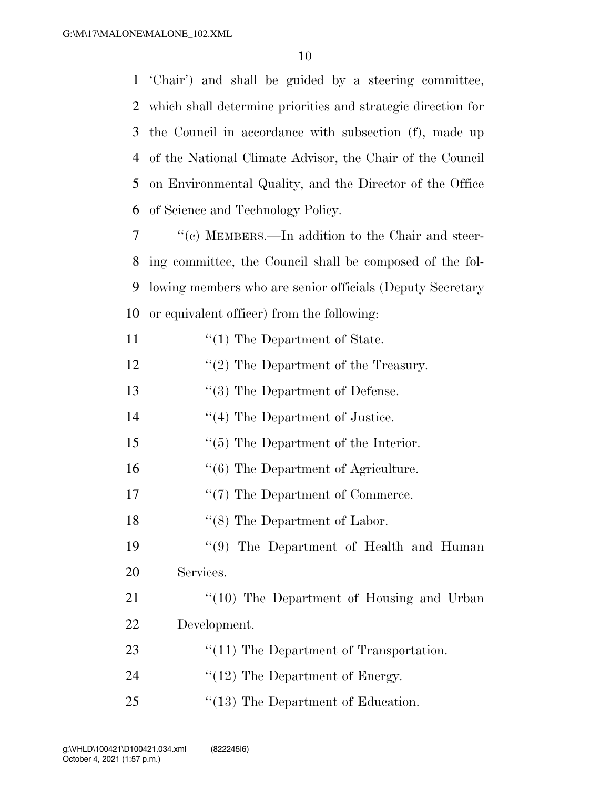'Chair') and shall be guided by a steering committee, which shall determine priorities and strategic direction for the Council in accordance with subsection (f), made up of the National Climate Advisor, the Chair of the Council on Environmental Quality, and the Director of the Office of Science and Technology Policy.

 ''(c) MEMBERS.—In addition to the Chair and steer- ing committee, the Council shall be composed of the fol- lowing members who are senior officials (Deputy Secretary or equivalent officer) from the following:

- 11  $\frac{1}{1}$  The Department of State.
- 12  $\frac{12}{2}$  The Department of the Treasury.
- 13 ''(3) The Department of Defense.
- 14 ''(4) The Department of Justice.
- 15 ''(5) The Department of the Interior.
- 16 ''(6) The Department of Agriculture.
- 17  $\frac{17}{2}$  The Department of Commerce.
- 18 ''(8) The Department of Labor.

19 ''(9) The Department of Health and Human 20 Services.

21 "(10) The Department of Housing and Urban 22 Development.

- 23 ''(11) The Department of Transportation.
- 24  $\frac{1}{2}$  The Department of Energy.
- 25 "(13) The Department of Education.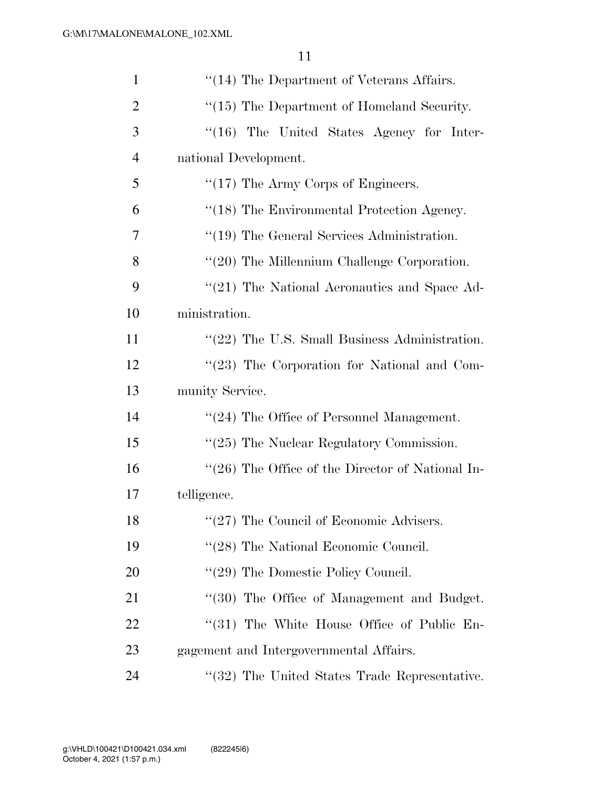| $\mathbf{1}$   | $\cdot$ (14) The Department of Veterans Affairs. |
|----------------|--------------------------------------------------|
| $\overline{2}$ | "(15) The Department of Homeland Security.       |
| 3              | "(16) The United States Agency for Inter-        |
| $\overline{4}$ | national Development.                            |
| 5              | $\lq(17)$ The Army Corps of Engineers.           |
| 6              | "(18) The Environmental Protection Agency.       |
| $\overline{7}$ | $\lq(19)$ The General Services Administration.   |
| 8              | "(20) The Millennium Challenge Corporation.      |
| 9              | "(21) The National Aeronautics and Space Ad-     |
| 10             | ministration.                                    |
| 11             | "(22) The U.S. Small Business Administration.    |
| 12             | $\lq(23)$ The Corporation for National and Com-  |
| 13             | munity Service.                                  |
| 14             | "(24) The Office of Personnel Management.        |
| 15             | $\lq(25)$ The Nuclear Regulatory Commission.     |
| 16             | "(26) The Office of the Director of National In- |
| 17             | telligence.                                      |
| 18             | "(27) The Council of Economic Advisers.          |
| 19             | "(28) The National Economic Council.             |
| 20             | $\lq(29)$ The Domestic Policy Council.           |
| 21             | "(30) The Office of Management and Budget.       |
| 22             | "(31) The White House Office of Public En-       |
| 23             | gagement and Intergovernmental Affairs.          |
| 24             | "(32) The United States Trade Representative.    |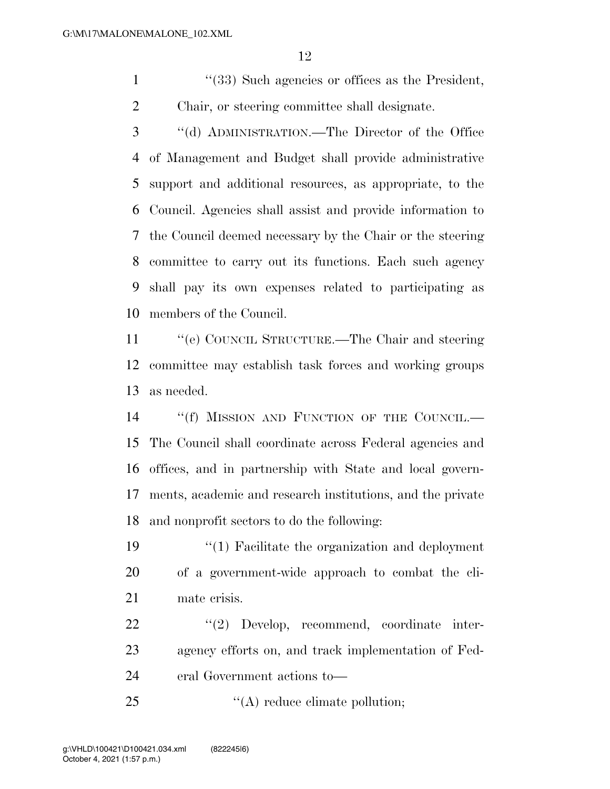1 ''(33) Such agencies or offices as the President, Chair, or steering committee shall designate.

 ''(d) ADMINISTRATION.—The Director of the Office of Management and Budget shall provide administrative support and additional resources, as appropriate, to the Council. Agencies shall assist and provide information to the Council deemed necessary by the Chair or the steering committee to carry out its functions. Each such agency shall pay its own expenses related to participating as members of the Council.

 ''(e) COUNCIL STRUCTURE.—The Chair and steering committee may establish task forces and working groups as needed.

14 ""(f) MISSION AND FUNCTION OF THE COUNCIL. The Council shall coordinate across Federal agencies and offices, and in partnership with State and local govern- ments, academic and research institutions, and the private and nonprofit sectors to do the following:

 ''(1) Facilitate the organization and deployment of a government-wide approach to combat the cli-mate crisis.

22 ''(2) Develop, recommend, coordinate inter- agency efforts on, and track implementation of Fed-eral Government actions to—

25  $\langle (A) \rangle$  reduce climate pollution;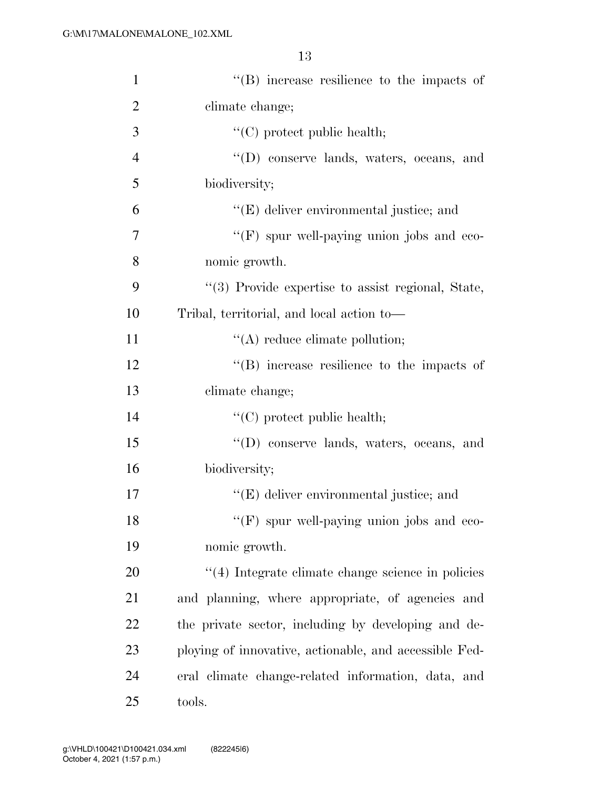| $\mathbf{1}$   | $\lq\lq$ ) increase resilience to the impacts of       |
|----------------|--------------------------------------------------------|
| $\overline{2}$ | climate change;                                        |
| 3              | $\lq\lq$ (C) protect public health;                    |
| $\overline{4}$ | "(D) conserve lands, waters, oceans, and               |
| 5              | biodiversity;                                          |
| 6              | "(E) deliver environmental justice; and                |
| 7              | $\lq\lq(F)$ spur well-paying union jobs and eco-       |
| 8              | nomic growth.                                          |
| 9              | "(3) Provide expertise to assist regional, State,      |
| 10             | Tribal, territorial, and local action to-              |
| 11             | $\lq\lq$ reduce climate pollution;                     |
| 12             | $\lq\lq$ increase resilience to the impacts of         |
| 13             | climate change;                                        |
| 14             | $\lq\lq$ (C) protect public health;                    |
| 15             | "(D) conserve lands, waters, oceans, and               |
| 16             | biodiversity;                                          |
| 17             | "(E) deliver environmental justice; and                |
| 18             | " $(F)$ spur well-paying union jobs and eco-           |
| 19             | nomic growth.                                          |
| 20             | $\lq(4)$ Integrate climate change science in policies  |
| 21             | and planning, where appropriate, of agencies and       |
| 22             | the private sector, including by developing and de-    |
| 23             | ploying of innovative, actionable, and accessible Fed- |
| 24             | eral climate change-related information, data, and     |
| 25             | tools.                                                 |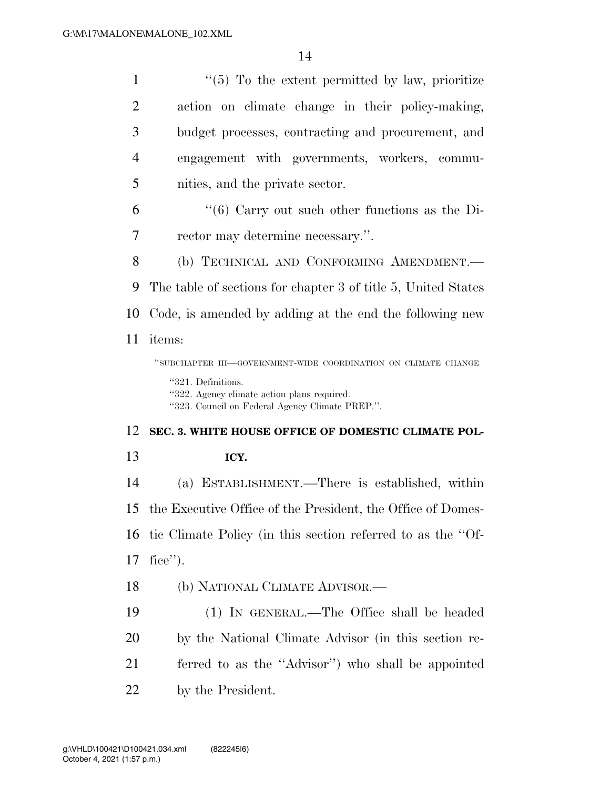| $\mathbf{1}$   | $\lq(5)$ To the extent permitted by law, prioritize                                                                  |
|----------------|----------------------------------------------------------------------------------------------------------------------|
| $\overline{2}$ | action on climate change in their policy-making,                                                                     |
| 3              | budget processes, contracting and procurement, and                                                                   |
| $\overline{4}$ | engagement with governments, workers, commu-                                                                         |
| 5              | nities, and the private sector.                                                                                      |
| 6              | $\cdot\cdot$ (6) Carry out such other functions as the Di-                                                           |
| 7              | rector may determine necessary.".                                                                                    |
| 8              | (b) TECHNICAL AND CONFORMING AMENDMENT.                                                                              |
| 9              | The table of sections for chapter 3 of title 5, United States                                                        |
| 10             | Code, is amended by adding at the end the following new                                                              |
| 11             | items:                                                                                                               |
|                | "SUBCHAPTER III-GOVERNMENT-WIDE COORDINATION ON CLIMATE CHANGE                                                       |
|                |                                                                                                                      |
|                | "321. Definitions.<br>"322. Agency climate action plans required.<br>"323. Council on Federal Agency Climate PREP.". |
| 12             | SEC. 3. WHITE HOUSE OFFICE OF DOMESTIC CLIMATE POL-                                                                  |
| 13             | ICY.                                                                                                                 |
| 14             | (a) ESTABLISHMENT.—There is established, within                                                                      |
| 15             | the Executive Office of the President, the Office of Domes-                                                          |
| 16             | tic Climate Policy (in this section referred to as the "Of-                                                          |
| 17             | fice".                                                                                                               |
| 18             | (b) NATIONAL CLIMATE ADVISOR.—                                                                                       |
| 19             | (1) IN GENERAL.—The Office shall be headed                                                                           |
| <b>20</b>      | by the National Climate Advisor (in this section re-                                                                 |
| 21             | ferred to as the "Advisor") who shall be appointed                                                                   |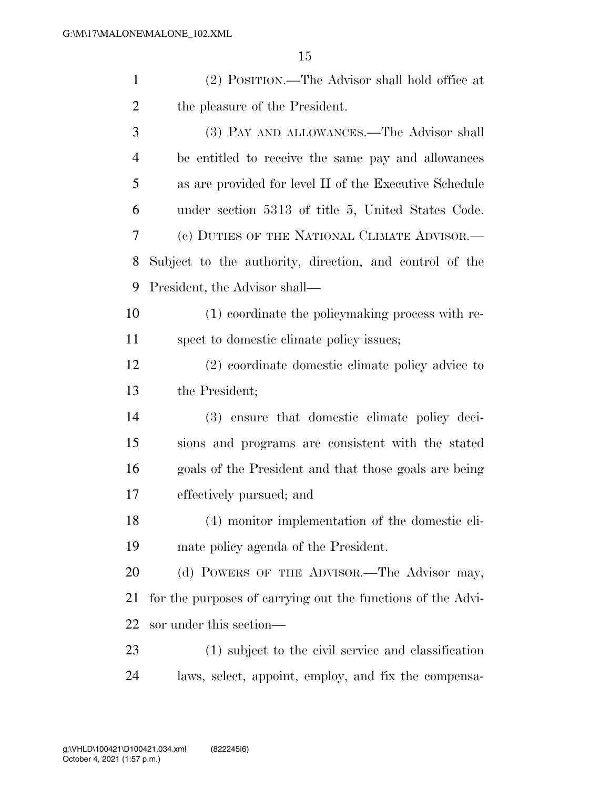| $\mathbf{1}$   | (2) POSITION.—The Advisor shall hold office at              |
|----------------|-------------------------------------------------------------|
| 2              | the pleasure of the President.                              |
| 3              | (3) PAY AND ALLOWANCES.—The Advisor shall                   |
| $\overline{4}$ | be entitled to receive the same pay and allowances          |
| 5              | as are provided for level II of the Executive Schedule      |
| 6              | under section 5313 of title 5, United States Code.          |
| 7              | (c) DUTIES OF THE NATIONAL CLIMATE ADVISOR.—                |
| 8              | Subject to the authority, direction, and control of the     |
| 9              | President, the Advisor shall—                               |
| 10             | (1) coordinate the policymaking process with re-            |
| 11             | spect to domestic climate policy issues;                    |
| 12             | (2) coordinate domestic climate policy advice to            |
| 13             | the President;                                              |
| 14             | (3) ensure that domestic climate policy deci-               |
| 15             | sions and programs are consistent with the stated           |
| 16             | goals of the President and that those goals are being       |
| 17             | effectively pursued; and                                    |
| 18             | (4) monitor implementation of the domestic cli-             |
| 19             | mate policy agenda of the President.                        |
| 20             | (d) POWERS OF THE ADVISOR.—The Advisor may,                 |
| 21             | for the purposes of carrying out the functions of the Advi- |
| 22             | sor under this section—                                     |
| 23             | (1) subject to the civil service and classification         |
| 24             | laws, select, appoint, employ, and fix the compensa-        |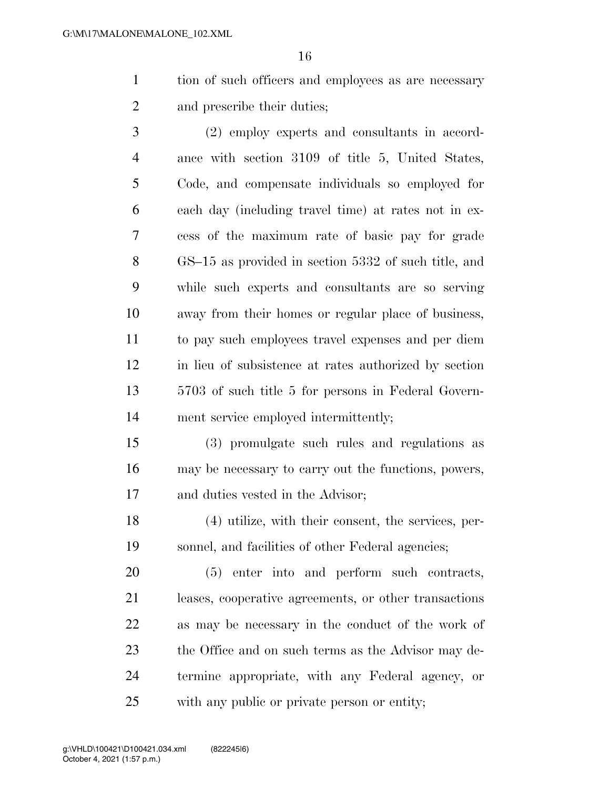tion of such officers and employees as are necessary and prescribe their duties;

 (2) employ experts and consultants in accord- ance with section 3109 of title 5, United States, Code, and compensate individuals so employed for each day (including travel time) at rates not in ex- cess of the maximum rate of basic pay for grade GS–15 as provided in section 5332 of such title, and while such experts and consultants are so serving away from their homes or regular place of business, to pay such employees travel expenses and per diem in lieu of subsistence at rates authorized by section 5703 of such title 5 for persons in Federal Govern-ment service employed intermittently;

 (3) promulgate such rules and regulations as may be necessary to carry out the functions, powers, and duties vested in the Advisor;

 (4) utilize, with their consent, the services, per-sonnel, and facilities of other Federal agencies;

 (5) enter into and perform such contracts, leases, cooperative agreements, or other transactions as may be necessary in the conduct of the work of the Office and on such terms as the Advisor may de- termine appropriate, with any Federal agency, or with any public or private person or entity;